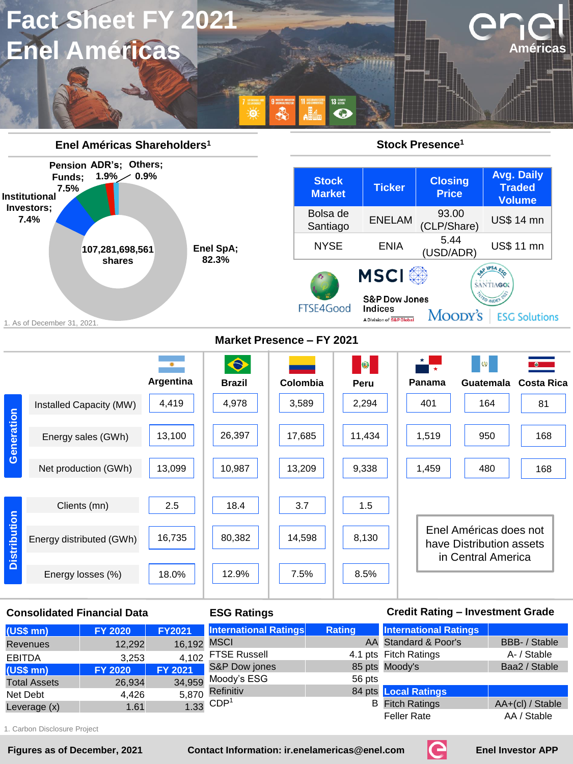



## **Consolidated Financial Data ESG Ratings Credit Rating – Investment Grade**

| $(US$$ mn $)$       | <b>FY 2020</b> | <b>FY2021</b> | <b>International Ratings</b> | Rating | <b>International Ratings</b> |                    |
|---------------------|----------------|---------------|------------------------------|--------|------------------------------|--------------------|
| <b>Revenues</b>     | 12,292         | 16,192 MSCI   |                              |        | AA Standard & Poor's         | BBB- / Stable      |
| <b>EBITDA</b>       | 3.253          | 4.102         | <b>FTSE Russell</b>          |        | 4.1 pts Fitch Ratings        | A- / Stable        |
| $(US$$ mn)          | <b>FY 2020</b> | FY 2021       | S&P Dow jones                |        | 85 pts Moody's               | Baa2 / Stable      |
| <b>Total Assets</b> | 26.934         | 34,959        | Moody's ESG                  | 56 pts |                              |                    |
| Net Debt            | 4.426          |               | 5,870 Refinitiv              |        | 84 pts Local Ratings         |                    |
| Leverage (x)        | 1.61           |               | $1.33$ CDP <sup>1</sup>      |        | <b>B</b> Fitch Ratings       | $AA+(cl) / Stable$ |
|                     |                |               |                              |        | <b>Feller Rate</b>           | AA / Stable        |

1. Carbon Disclosure Project